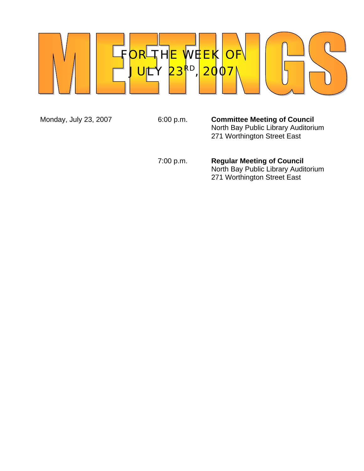

Monday, July 23, 2007 **6:00 p.m. Committee Meeting of Council**  North Bay Public Library Auditorium 271 Worthington Street East

> 7:00 p.m. **Regular Meeting of Council** North Bay Public Library Auditorium 271 Worthington Street East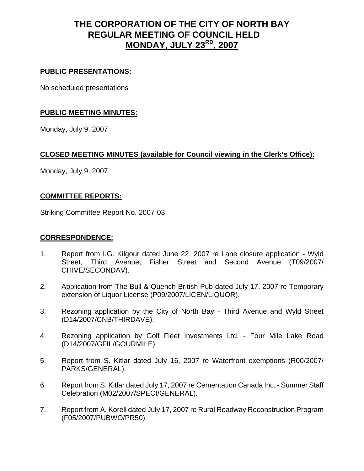# **THE CORPORATION OF THE CITY OF NORTH BAY REGULAR MEETING OF COUNCIL HELD MONDAY, JULY 23RD, 2007**

### **PUBLIC PRESENTATIONS:**

No scheduled presentations

## **PUBLIC MEETING MINUTES:**

Monday, July 9, 2007

# **CLOSED MEETING MINUTES (available for Council viewing in the Clerk's Office):**

Monday, July 9, 2007

## **COMMITTEE REPORTS:**

Striking Committee Report No. 2007-03

#### **CORRESPONDENCE:**

- 1. Report from I.G. Kilgour dated June 22, 2007 re Lane closure application Wyld Street, Third Avenue, Fisher Street and Second Avenue (T09/2007/ CHIVE/SECONDAV).
- 2. Application from The Bull & Quench British Pub dated July 17, 2007 re Temporary extension of Liquor License (P09/2007/LICEN/LIQUOR).
- 3. Rezoning application by the City of North Bay Third Avenue and Wyld Street (D14/2007/CNB/THIRDAVE).
- 4. Rezoning application by Golf Fleet Investments Ltd. Four Mile Lake Road (D14/2007/GFIL/GOURMILE).
- 5. Report from S. Kitlar dated July 16, 2007 re Waterfront exemptions (R00/2007/ PARKS/GENERAL).
- 6. Report from S. Kitlar dated July 17, 2007 re Cementation Canada Inc. Summer Staff Celebration (M02/2007/SPECI/GENERAL).
- 7. Report from A. Korell dated July 17, 2007 re Rural Roadway Reconstruction Program (F05/2007/PUBWO/PR50).